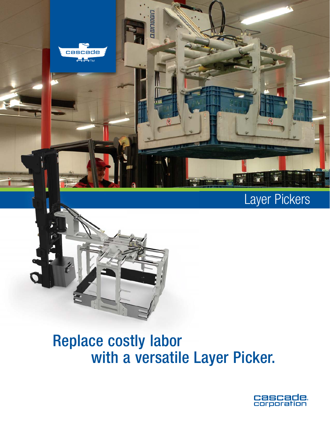

# Layer Pickers



# Replace costly labor with a versatile Layer Picker.

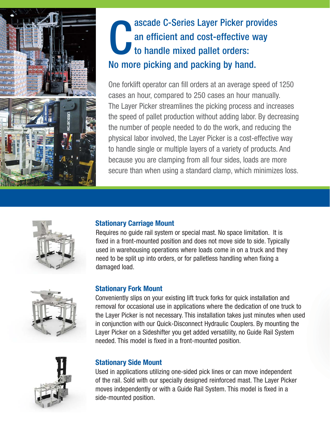

# C<br>No.mo ascade C-Series Layer Picker provides an efficient and cost-effective way to handle mixed pallet orders: No more picking and packing by hand.

One forklift operator can fill orders at an average speed of 1250 cases an hour, compared to 250 cases an hour manually. The Layer Picker streamlines the picking process and increases the speed of pallet production without adding labor. By decreasing the number of people needed to do the work, and reducing the physical labor involved, the Layer Picker is a cost-effective way to handle single or multiple layers of a variety of products. And because you are clamping from all four sides, loads are more secure than when using a standard clamp, which minimizes loss.



### **Stationary Carriage Mount**

Requires no guide rail system or special mast. No space limitation. It is fixed in a front-mounted position and does not move side to side. Typically used in warehousing operations where loads come in on a truck and they need to be split up into orders, or for palletless handling when fixing a damaged load.



### **Stationary Fork Mount**

Conveniently slips on your existing lift truck forks for quick installation and removal for occasional use in applications where the dedication of one truck to the Layer Picker is not necessary. This installation takes just minutes when used in conjunction with our Quick-Disconnect Hydraulic Couplers. By mounting the Layer Picker on a Sideshifter you get added versatility, no Guide Rail System needed. This model is fixed in a front-mounted position.



### **Stationary Side Mount**

Used in applications utilizing one-sided pick lines or can move independent of the rail. Sold with our specially designed reinforced mast. The Layer Picker moves independently or with a Guide Rail System. This model is fixed in a side-mounted position.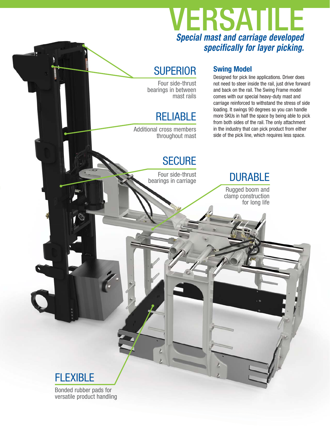# *Special mast and carriage developed specifically for layer picking.* VERSATILE

## **SUPERIOR**

Four side-thrust bearings in between mast rails

# RELIABLE

Additional cross members throughout mast

## **Swing Model**

Designed for pick line applications. Driver does not need to steer inside the rail, just drive forward and back on the rail. The Swing Frame model comes with our special heavy-duty mast and carriage reinforced to withstand the stress of side loading. It swings 90 degrees so you can handle more SKUs in half the space by being able to pick from both sides of the rail. The only attachment in the industry that can pick product from either side of the pick line, which requires less space.

## **SECURE**

 Four side-thrust bearings in carriage

# **DURABLE**

Rugged boom and clamp construction for long life



Bonded rubber pads for versatile product handling